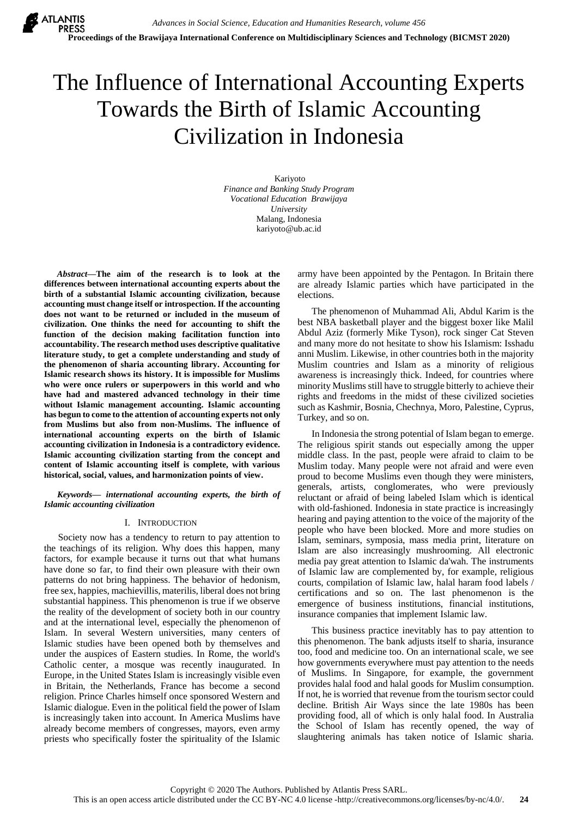# The Influence of International Accounting Experts Towards the Birth of Islamic Accounting Civilization in Indonesia

Kariyoto *Finance and Banking Study Program Vocational Education Brawijaya University* Malang, Indonesia [kariyoto@ub.ac.id](mailto:kariyoto@ub.ac.id)

*Abstract***—The aim of the research is to look at the differences between international accounting experts about the birth of a substantial Islamic accounting civilization, because accounting must change itself or introspection. If the accounting does not want to be returned or included in the museum of civilization. One thinks the need for accounting to shift the function of the decision making facilitation function into accountability. The research method uses descriptive qualitative literature study, to get a complete understanding and study of the phenomenon of sharia accounting library. Accounting for Islamic research shows its history. It is impossible for Muslims who were once rulers or superpowers in this world and who have had and mastered advanced technology in their time without Islamic management accounting. Islamic accounting has begun to come to the attention of accounting experts not only from Muslims but also from non-Muslims. The influence of international accounting experts on the birth of Islamic accounting civilization in Indonesia is a contradictory evidence. Islamic accounting civilization starting from the concept and content of Islamic accounting itself is complete, with various historical, social, values, and harmonization points of view.**

*Keywords— international accounting experts, the birth of Islamic accounting civilization*

### I. INTRODUCTION

Society now has a tendency to return to pay attention to the teachings of its religion. Why does this happen, many factors, for example because it turns out that what humans have done so far, to find their own pleasure with their own patterns do not bring happiness. The behavior of hedonism, free sex, happies, machievillis, materilis, liberal does not bring substantial happiness. This phenomenon is true if we observe the reality of the development of society both in our country and at the international level, especially the phenomenon of Islam. In several Western universities, many centers of Islamic studies have been opened both by themselves and under the auspices of Eastern studies. In Rome, the world's Catholic center, a mosque was recently inaugurated. In Europe, in the United States Islam is increasingly visible even in Britain, the Netherlands, France has become a second religion. Prince Charles himself once sponsored Western and Islamic dialogue. Even in the political field the power of Islam is increasingly taken into account. In America Muslims have already become members of congresses, mayors, even army priests who specifically foster the spirituality of the Islamic

army have been appointed by the Pentagon. In Britain there are already Islamic parties which have participated in the elections.

The phenomenon of Muhammad Ali, Abdul Karim is the best NBA basketball player and the biggest boxer like Malil Abdul Aziz (formerly Mike Tyson), rock singer Cat Steven and many more do not hesitate to show his Islamism: Isshadu anni Muslim. Likewise, in other countries both in the majority Muslim countries and Islam as a minority of religious awareness is increasingly thick. Indeed, for countries where minority Muslims still have to struggle bitterly to achieve their rights and freedoms in the midst of these civilized societies such as Kashmir, Bosnia, Chechnya, Moro, Palestine, Cyprus, Turkey, and so on.

In Indonesia the strong potential of Islam began to emerge. The religious spirit stands out especially among the upper middle class. In the past, people were afraid to claim to be Muslim today. Many people were not afraid and were even proud to become Muslims even though they were ministers, generals, artists, conglomerates, who were previously reluctant or afraid of being labeled Islam which is identical with old-fashioned. Indonesia in state practice is increasingly hearing and paying attention to the voice of the majority of the people who have been blocked. More and more studies on Islam, seminars, symposia, mass media print, literature on Islam are also increasingly mushrooming. All electronic media pay great attention to Islamic da'wah. The instruments of Islamic law are complemented by, for example, religious courts, compilation of Islamic law, halal haram food labels / certifications and so on. The last phenomenon is the emergence of business institutions, financial institutions, insurance companies that implement Islamic law.

This business practice inevitably has to pay attention to this phenomenon. The bank adjusts itself to sharia, insurance too, food and medicine too. On an international scale, we see how governments everywhere must pay attention to the needs of Muslims. In Singapore, for example, the government provides halal food and halal goods for Muslim consumption. If not, he is worried that revenue from the tourism sector could decline. British Air Ways since the late 1980s has been providing food, all of which is only halal food. In Australia the School of Islam has recently opened, the way of slaughtering animals has taken notice of Islamic sharia.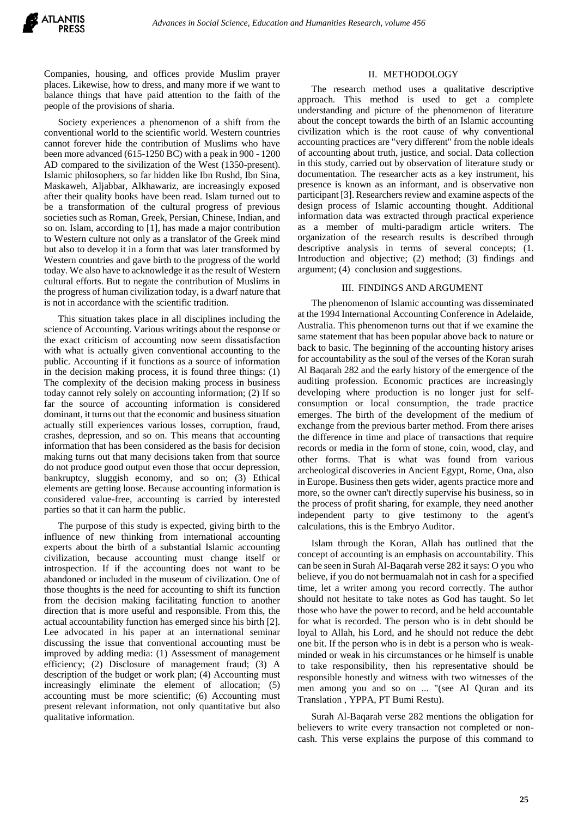Companies, housing, and offices provide Muslim prayer places. Likewise, how to dress, and many more if we want to balance things that have paid attention to the faith of the people of the provisions of sharia.

Society experiences a phenomenon of a shift from the conventional world to the scientific world. Western countries cannot forever hide the contribution of Muslims who have been more advanced (615-1250 BC) with a peak in 900 - 1200 AD compared to the sivilization of the West (1350-present). Islamic philosophers, so far hidden like Ibn Rushd, Ibn Sina, Maskaweh, Aljabbar, Alkhawariz, are increasingly exposed after their quality books have been read. Islam turned out to be a transformation of the cultural progress of previous societies such as Roman, Greek, Persian, Chinese, Indian, and so on. Islam, according to [1], has made a major contribution to Western culture not only as a translator of the Greek mind but also to develop it in a form that was later transformed by Western countries and gave birth to the progress of the world today. We also have to acknowledge it as the result of Western cultural efforts. But to negate the contribution of Muslims in the progress of human civilization today, is a dwarf nature that is not in accordance with the scientific tradition.

This situation takes place in all disciplines including the science of Accounting. Various writings about the response or the exact criticism of accounting now seem dissatisfaction with what is actually given conventional accounting to the public. Accounting if it functions as a source of information in the decision making process, it is found three things: (1) The complexity of the decision making process in business today cannot rely solely on accounting information; (2) If so far the source of accounting information is considered dominant, it turns out that the economic and business situation actually still experiences various losses, corruption, fraud, crashes, depression, and so on. This means that accounting information that has been considered as the basis for decision making turns out that many decisions taken from that source do not produce good output even those that occur depression, bankruptcy, sluggish economy, and so on; (3) Ethical elements are getting loose. Because accounting information is considered value-free, accounting is carried by interested parties so that it can harm the public.

The purpose of this study is expected, giving birth to the influence of new thinking from international accounting experts about the birth of a substantial Islamic accounting civilization, because accounting must change itself or introspection. If if the accounting does not want to be abandoned or included in the museum of civilization. One of those thoughts is the need for accounting to shift its function from the decision making facilitating function to another direction that is more useful and responsible. From this, the actual accountability function has emerged since his birth [2]. Lee advocated in his paper at an international seminar discussing the issue that conventional accounting must be improved by adding media: (1) Assessment of management efficiency; (2) Disclosure of management fraud; (3) A description of the budget or work plan; (4) Accounting must increasingly eliminate the element of allocation; (5) accounting must be more scientific; (6) Accounting must present relevant information, not only quantitative but also qualitative information.

#### II. METHODOLOGY

The research method uses a qualitative descriptive approach. This method is used to get a complete understanding and picture of the phenomenon of literature about the concept towards the birth of an Islamic accounting civilization which is the root cause of why conventional accounting practices are "very different" from the noble ideals of accounting about truth, justice, and social. Data collection in this study, carried out by observation of literature study or documentation. The researcher acts as a key instrument, his presence is known as an informant, and is observative non participant [3]. Researchers review and examine aspects of the design process of Islamic accounting thought. Additional information data was extracted through practical experience as a member of multi-paradigm article writers. The organization of the research results is described through descriptive analysis in terms of several concepts; (1. Introduction and objective; (2) method; (3) findings and argument; (4) conclusion and suggestions.

#### III. FINDINGS AND ARGUMENT

The phenomenon of Islamic accounting was disseminated at the 1994 International Accounting Conference in Adelaide, Australia. This phenomenon turns out that if we examine the same statement that has been popular above back to nature or back to basic. The beginning of the accounting history arises for accountability as the soul of the verses of the Koran surah Al Baqarah 282 and the early history of the emergence of the auditing profession. Economic practices are increasingly developing where production is no longer just for selfconsumption or local consumption, the trade practice emerges. The birth of the development of the medium of exchange from the previous barter method. From there arises the difference in time and place of transactions that require records or media in the form of stone, coin, wood, clay, and other forms. That is what was found from various archeological discoveries in Ancient Egypt, Rome, Ona, also in Europe. Business then gets wider, agents practice more and more, so the owner can't directly supervise his business, so in the process of profit sharing, for example, they need another independent party to give testimony to the agent's calculations, this is the Embryo Auditor.

Islam through the Koran, Allah has outlined that the concept of accounting is an emphasis on accountability. This can be seen in Surah Al-Baqarah verse 282 it says: O you who believe, if you do not bermuamalah not in cash for a specified time, let a writer among you record correctly. The author should not hesitate to take notes as God has taught. So let those who have the power to record, and be held accountable for what is recorded. The person who is in debt should be loyal to Allah, his Lord, and he should not reduce the debt one bit. If the person who is in debt is a person who is weakminded or weak in his circumstances or he himself is unable to take responsibility, then his representative should be responsible honestly and witness with two witnesses of the men among you and so on ... "(see Al Quran and its Translation , YPPA, PT Bumi Restu).

Surah Al-Baqarah verse 282 mentions the obligation for believers to write every transaction not completed or noncash. This verse explains the purpose of this command to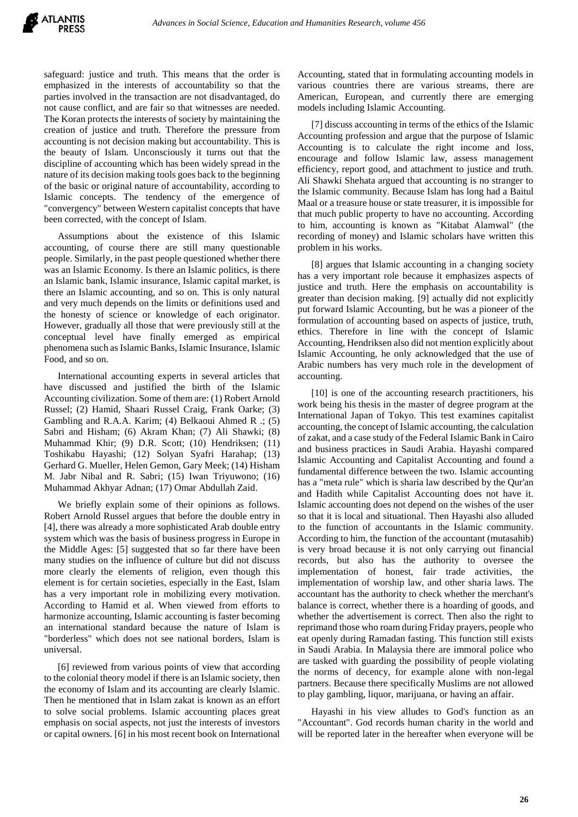

safeguard: justice and truth. This means that the order is emphasized in the interests of accountability so that the parties involved in the transaction are not disadvantaged, do not cause conflict, and are fair so that witnesses are needed. The Koran protects the interests of society by maintaining the creation of justice and truth. Therefore the pressure from accounting is not decision making but accountability. This is the beauty of Islam. Unconsciously it turns out that the discipline of accounting which has been widely spread in the nature of its decision making tools goes back to the beginning of the basic or original nature of accountability, according to Islamic concepts. The tendency of the emergence of "convergency" between Western capitalist concepts that have been corrected, with the concept of Islam.

Assumptions about the existence of this Islamic accounting, of course there are still many questionable people. Similarly, in the past people questioned whether there was an Islamic Economy. Is there an Islamic politics, is there an Islamic bank, Islamic insurance, Islamic capital market, is there an Islamic accounting, and so on. This is only natural and very much depends on the limits or definitions used and the honesty of science or knowledge of each originator. However, gradually all those that were previously still at the conceptual level have finally emerged as empirical phenomena such as Islamic Banks, Islamic Insurance, Islamic Food, and so on.

International accounting experts in several articles that have discussed and justified the birth of the Islamic Accounting civilization. Some of them are: (1) Robert Arnold Russel; (2) Hamid, Shaari Russel Craig, Frank Oarke; (3) Gambling and R.A.A. Karim; (4) Belkaoui Ahmed R .; (5) Sabri and Hisham; (6) Akram Khan; (7) Ali Shawki; (8) Muhammad Khir; (9) D.R. Scott; (10) Hendriksen; (11) Toshikabu Hayashi; (12) Solyan Syafri Harahap; (13) Gerhard G. Mueller, Helen Gemon, Gary Meek; (14) Hisham M. Jabr Nibal and R. Sabri; (15) Iwan Triyuwono; (16) Muhammad Akhyar Adnan; (17) Omar Abdullah Zaid.

We briefly explain some of their opinions as follows. Robert Arnold Russel argues that before the double entry in [4], there was already a more sophisticated Arab double entry system which was the basis of business progress in Europe in the Middle Ages: [5] suggested that so far there have been many studies on the influence of culture but did not discuss more clearly the elements of religion, even though this element is for certain societies, especially in the East, Islam has a very important role in mobilizing every motivation. According to Hamid et al. When viewed from efforts to harmonize accounting, Islamic accounting is faster becoming an international standard because the nature of Islam is "borderless" which does not see national borders, Islam is universal.

[6] reviewed from various points of view that according to the colonial theory model if there is an Islamic society, then the economy of Islam and its accounting are clearly Islamic. Then he mentioned that in Islam zakat is known as an effort to solve social problems. Islamic accounting places great emphasis on social aspects, not just the interests of investors or capital owners. [6] in his most recent book on International

Accounting, stated that in formulating accounting models in various countries there are various streams, there are American, European, and currently there are emerging models including Islamic Accounting.

[7] discuss accounting in terms of the ethics of the Islamic Accounting profession and argue that the purpose of Islamic Accounting is to calculate the right income and loss, encourage and follow Islamic law, assess management efficiency, report good, and attachment to justice and truth. Ali Shawki Shehata argued that accounting is no stranger to the Islamic community. Because Islam has long had a Baitul Maal or a treasure house or state treasurer, it is impossible for that much public property to have no accounting. According to him, accounting is known as "Kitabat Alamwal" (the recording of money) and Islamic scholars have written this problem in his works.

[8] argues that Islamic accounting in a changing society has a very important role because it emphasizes aspects of justice and truth. Here the emphasis on accountability is greater than decision making. [9] actually did not explicitly put forward Islamic Accounting, but he was a pioneer of the formulation of accounting based on aspects of justice, truth, ethics. Therefore in line with the concept of Islamic Accounting, Hendriksen also did not mention explicitly about Islamic Accounting, he only acknowledged that the use of Arabic numbers has very much role in the development of accounting.

[10] is one of the accounting research practitioners, his work being his thesis in the master of degree program at the International Japan of Tokyo. This test examines capitalist accounting, the concept of Islamic accounting, the calculation of zakat, and a case study of the Federal Islamic Bank in Cairo and business practices in Saudi Arabia. Hayashi compared Islamic Accounting and Capitalist Accounting and found a fundamental difference between the two. Islamic accounting has a "meta rule" which is sharia law described by the Qur'an and Hadith while Capitalist Accounting does not have it. Islamic accounting does not depend on the wishes of the user so that it is local and situational. Then Hayashi also alluded to the function of accountants in the Islamic community. According to him, the function of the accountant (mutasahib) is very broad because it is not only carrying out financial records, but also has the authority to oversee the implementation of honest, fair trade activities, the implementation of worship law, and other sharia laws. The accountant has the authority to check whether the merchant's balance is correct, whether there is a hoarding of goods, and whether the advertisement is correct. Then also the right to reprimand those who roam during Friday prayers, people who eat openly during Ramadan fasting. This function still exists in Saudi Arabia. In Malaysia there are immoral police who are tasked with guarding the possibility of people violating the norms of decency, for example alone with non-legal partners. Because there specifically Muslims are not allowed to play gambling, liquor, marijuana, or having an affair.

Hayashi in his view alludes to God's function as an "Accountant". God records human charity in the world and will be reported later in the hereafter when everyone will be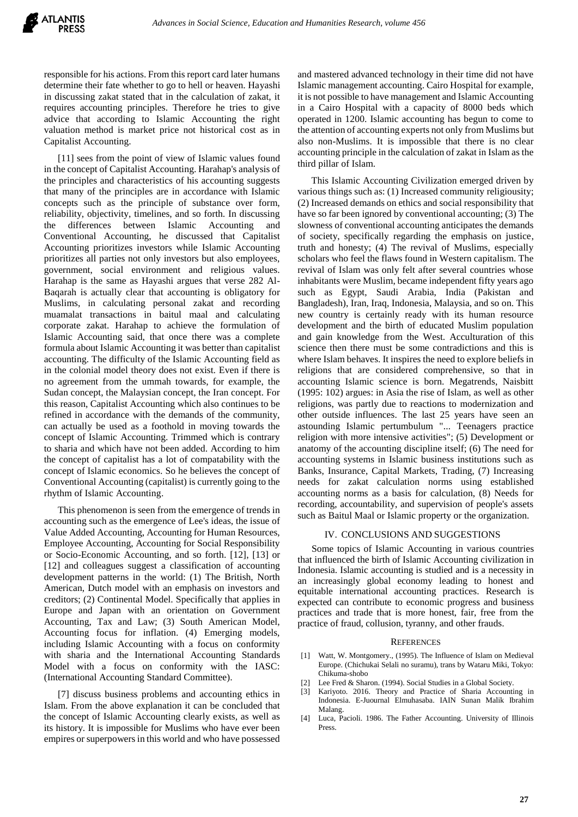responsible for his actions. From this report card later humans determine their fate whether to go to hell or heaven. Hayashi in discussing zakat stated that in the calculation of zakat, it requires accounting principles. Therefore he tries to give advice that according to Islamic Accounting the right valuation method is market price not historical cost as in Capitalist Accounting.

[11] sees from the point of view of Islamic values found in the concept of Capitalist Accounting. Harahap's analysis of the principles and characteristics of his accounting suggests that many of the principles are in accordance with Islamic concepts such as the principle of substance over form, reliability, objectivity, timelines, and so forth. In discussing the differences between Islamic Accounting and Conventional Accounting, he discussed that Capitalist Accounting prioritizes investors while Islamic Accounting prioritizes all parties not only investors but also employees, government, social environment and religious values. Harahap is the same as Hayashi argues that verse 282 Al-Baqarah is actually clear that accounting is obligatory for Muslims, in calculating personal zakat and recording muamalat transactions in baitul maal and calculating corporate zakat. Harahap to achieve the formulation of Islamic Accounting said, that once there was a complete formula about Islamic Accounting it was better than capitalist accounting. The difficulty of the Islamic Accounting field as in the colonial model theory does not exist. Even if there is no agreement from the ummah towards, for example, the Sudan concept, the Malaysian concept, the Iran concept. For this reason, Capitalist Accounting which also continues to be refined in accordance with the demands of the community, can actually be used as a foothold in moving towards the concept of Islamic Accounting. Trimmed which is contrary to sharia and which have not been added. According to him the concept of capitalist has a lot of compatability with the concept of Islamic economics. So he believes the concept of Conventional Accounting (capitalist) is currently going to the rhythm of Islamic Accounting.

This phenomenon is seen from the emergence of trends in accounting such as the emergence of Lee's ideas, the issue of Value Added Accounting, Accounting for Human Resources, Employee Accounting, Accounting for Social Responsibility or Socio-Economic Accounting, and so forth. [12], [13] or [12] and colleagues suggest a classification of accounting development patterns in the world: (1) The British, North American, Dutch model with an emphasis on investors and creditors; (2) Continental Model. Specifically that applies in Europe and Japan with an orientation on Government Accounting, Tax and Law; (3) South American Model, Accounting focus for inflation. (4) Emerging models, including Islamic Accounting with a focus on conformity with sharia and the International Accounting Standards Model with a focus on conformity with the IASC: (International Accounting Standard Committee).

[7] discuss business problems and accounting ethics in Islam. From the above explanation it can be concluded that the concept of Islamic Accounting clearly exists, as well as its history. It is impossible for Muslims who have ever been empires or superpowers in this world and who have possessed

and mastered advanced technology in their time did not have Islamic management accounting. Cairo Hospital for example, it is not possible to have management and Islamic Accounting in a Cairo Hospital with a capacity of 8000 beds which operated in 1200. Islamic accounting has begun to come to the attention of accounting experts not only from Muslims but also non-Muslims. It is impossible that there is no clear accounting principle in the calculation of zakat in Islam as the third pillar of Islam.

This Islamic Accounting Civilization emerged driven by various things such as: (1) Increased community religiousity; (2) Increased demands on ethics and social responsibility that have so far been ignored by conventional accounting; (3) The slowness of conventional accounting anticipates the demands of society, specifically regarding the emphasis on justice, truth and honesty; (4) The revival of Muslims, especially scholars who feel the flaws found in Western capitalism. The revival of Islam was only felt after several countries whose inhabitants were Muslim, became independent fifty years ago such as Egypt, Saudi Arabia, India (Pakistan and Bangladesh), Iran, Iraq, Indonesia, Malaysia, and so on. This new country is certainly ready with its human resource development and the birth of educated Muslim population and gain knowledge from the West. Acculturation of this science then there must be some contradictions and this is where Islam behaves. It inspires the need to explore beliefs in religions that are considered comprehensive, so that in accounting Islamic science is born. Megatrends, Naisbitt (1995: 102) argues: in Asia the rise of Islam, as well as other religions, was partly due to reactions to modernization and other outside influences. The last 25 years have seen an astounding Islamic pertumbulum "... Teenagers practice religion with more intensive activities"; (5) Development or anatomy of the accounting discipline itself; (6) The need for accounting systems in Islamic business institutions such as Banks, Insurance, Capital Markets, Trading, (7) Increasing needs for zakat calculation norms using established accounting norms as a basis for calculation, (8) Needs for recording, accountability, and supervision of people's assets such as Baitul Maal or Islamic property or the organization.

## IV. CONCLUSIONS AND SUGGESTIONS

Some topics of Islamic Accounting in various countries that influenced the birth of Islamic Accounting civilization in Indonesia. Islamic accounting is studied and is a necessity in an increasingly global economy leading to honest and equitable international accounting practices. Research is expected can contribute to economic progress and business practices and trade that is more honest, fair, free from the practice of fraud, collusion, tyranny, and other frauds.

#### **REFERENCES**

- [1] Watt, W. Montgomery., (1995). The Influence of Islam on Medieval Europe. (Chichukai Selali no suramu), trans by Wataru Miki, Tokyo: Chikuma-shobo
- Lee Fred & Sharon. (1994). Social Studies in a Global Society.
- [3] Kariyoto. 2016. Theory and Practice of Sharia Accounting in Indonesia. E-Juournal Elmuhasaba. IAIN Sunan Malik Ibrahim Malang.
- [4] Luca, Pacioli. 1986. The Father Accounting. University of Illinois Press.